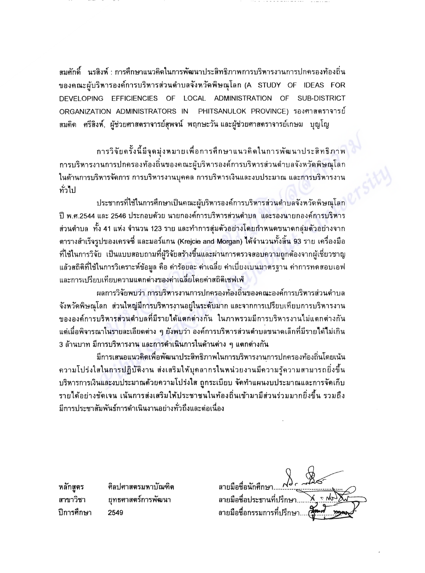ี่สมศักดิ์ นรสิงห์ : การศึกษาแนวคิดในการพัฒนาประสิทธิภาพการบริหารงานการปกครองท้องถิ่น ของคณะผู้บริหารองค์การบริหารส่วนตำบลจังหวัดพิษณุโลก (A STUDY OF IDEAS FOR DEVELOPING EFFICIENCIES OF LOCAL ADMINISTRATION OF SUB-DISTRICT ORGANIZATION ADMINISTRATORS IN - PHITSANULOK PROVINCF) รองศาสตราจารย์ ี่สมคิด ศรีสิงห์, ผู้ช่วยศาสตราจารย์สุพจน์ พฤกษะวันและผู้ช่วยศาสตราจารย์เกษม บุญโญ

การวิจัยครั้งนี้มีจุดมุ่งหมายเพื่อการศึกษาแนวคิดในการพัฒนาประสิทธิภาพ การบริหารงานการปกครองท้องถิ่นของคณะผู้บริหารองค์การบริหารส่วนตำบลจังหวัดพิษณุโลก ในด้านการบริหารจัดการ การบริหารงานบุคคล การบริหารเงินและงบประมาณ และการบริหารงาน ทั่วไป

ประชากรที่ใช้ในการศึกษาเป็นคณะผู้บริหารองค์การบริหารส่วนตำบลจังหวัดพิษณุโลก ปี พ.ศ.2544 และ 2546 ประกอบด้วย นายกองค์การบริหารส่วนตำบล และรองนายกองค์การบริหาร ส่วนตำบล ทั้ง 41 แห่ง จำนวน 123 ราย และทำการสุ่มตัวอย่างโดยกำหนดขนาดกลุ่มตัวอย่างจาก ตารางสำเร็จรูปของเครจซี่ และมอร์แกน (Krejcie and Morgan) ได้จำนวนทั้งสิ้น 93 ราย เครื่องมือ ที่ใช้ในการวิจัย เป็นแบบสอบถามที่ผู้วิจัยสร้างขึ้นและผ่านการตรวจสอบความถูกต้องจากผู้เชี่ยวชาญ แล้วสถิติที่ใช้ในการวิเคราะห์ข้อมูล คือ ค่าร้อยละ ค่าเฉลี่ย ค่าเบี่ยงเบนมาตรฐาน ค่าการทดสอบเอฟ และการเปรียบเทียบความแตกต่างของค่าเฉลี่ยโดยค่าสถิติเชฟเฟ่

ผลการวิจัยพบว่า การบริหารงานการปกครองท้องถิ่นของคณะองค์การบริหารส่วนตำบล จังหวัดพิษณุโลก ส่วนใหญ่มีการบริหารงานอยู่ในระดับมาก และจากการเปรียบเทียบการบริหารงาน ขององค์การบริหารส่วนตำบลที่มีรายได้แตกต่างกัน ในภาพรวมมีการบริหารงานไม่แตกต่างกัน แต่เมื่อพิจารณาในรายละเอียดต่าง ๆ ยังพบว่า องค์การบริหารส่วนตำบลขนาดเล็กที่มีรายได้ไม่เกิน ่ 3 ล้านบาท มีการบริหารงาน และการดำเนินการในด้านต่าง ๆ แตกต่างกัน

มีการเสนอแนวคิดเพื่อพัฒนาประสิทธิภาพในการบริหารงานการปกครองท้องถิ่นโดยเน้น ี ความโปร่งใสในการปฏิบัติงาน ส่งเสริมให้บุคลากรในหน่วยงานมีความรู้ความสามารถยิ่งขึ้น บริหารการเงินและงบประมาณด้วยความโปร่งใส ถูกระเบียบ จัดทำแผนงบประมาณและการจัดเก็บ รายได้อย่างชัดเจน เน้นการส่งเสริมให้ประชาชนในท้องถิ่นเข้ามามีส่วนร่วมมากยิ่งขึ้น รวมถึง มีการประชาสัมพันธ์การดำเนินงานอย่างทั่วถึงและต่อเนื่อง

ลายมือชื่อนักศึกษา. ลายมือชื่อประธานที่ปรึกษา ลายมือชื่อกรรมการที่ปรึกษา.

หลักสูตร ศิลปศาสตรมหาบัณฑิต สาขาวิชา ยุทธศาสตร์การพัฒนา ปีการศึกษา 2549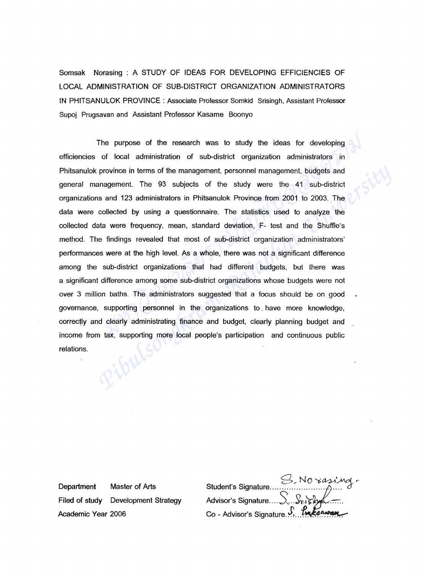Somsak Norasing: A STUDY OF IDEAS FOR DEVELOPING EFFICIENCIES OF LOCAL ADMINISTRATION OF SUB-DISTRICT ORGANIZATION ADMINISTRATORS IN PHITSANULOK PROVINCE: Associate Professor Somkid Srisingh, Assistant Professor Supoj Prugsavan and Assistant Professor Kasame Boonyo

The purpose of the research was to study the ideas for developing efficiencies of local administration of sub-district organization administrators in Phitsanulok province in terms of the management, personnel management, budgets and general management. The 93 subjects of the study were the 41 sub-district organizations and 123 administrators in Phitsanulok Province from 2001 to 2003. The data were collected by using a questionnaire. The statistics used to analyze the collected data were frequency, mean, standard deviation, F- test and the Shuffle's method. The findings revealed that most of sub-district organization administrators' performances were at the high level. As a whole, there was not a significant difference among the sub-district organizations that had different budgets, but there was a significant difference among some sub-district organizations whose budgets were not over 3 million baths. The administrators suggested that a focus should be on good governance, supporting personnel in the organizations to. have more knowledge, correctly and clearly administrating finance and budget, clearly planning budget and income from tax, supporting more local people's participation and continuous public relations.